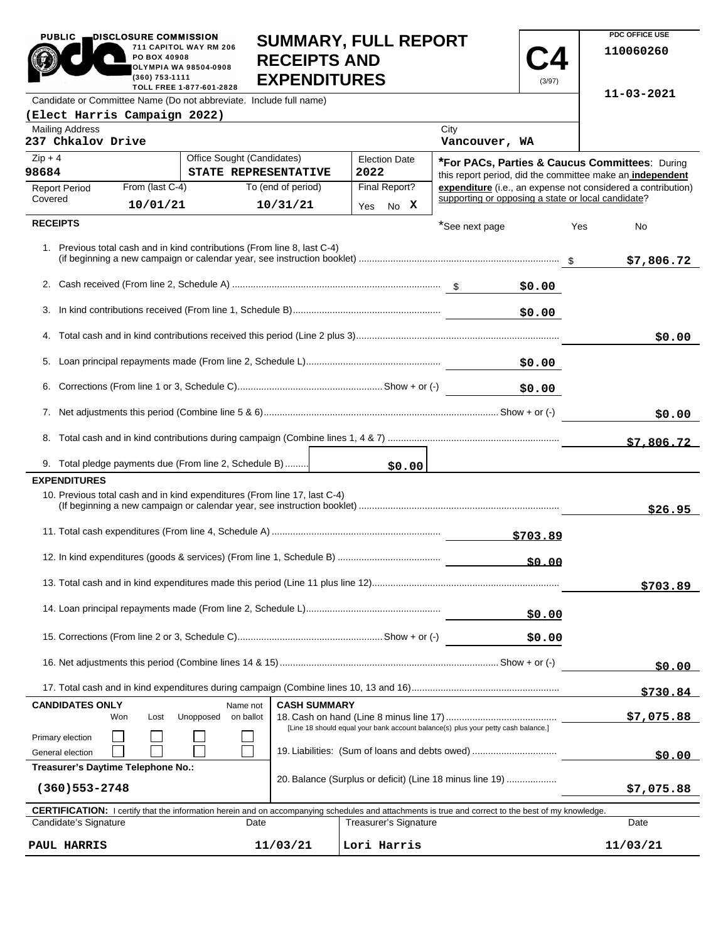| PUBLIC <b>EDISCLOSURE COMMISSION</b><br>711 CAPITOL WAY RM 206<br>PO BOX 40908<br><b>OLYMPIA WA 98504-0908</b><br>$(360)$ 753-1111<br>TOLL FREE 1-877-601-2828 | <b>SUMMARY, FULL REPORT</b><br><b>RECEIPTS AND</b><br><b>EXPENDITURES</b> |  |  |  |  |
|----------------------------------------------------------------------------------------------------------------------------------------------------------------|---------------------------------------------------------------------------|--|--|--|--|
| Candidate or Committee Name (Do not abbreviate. Include full name)                                                                                             |                                                                           |  |  |  |  |
| $F1$ ost Horris Compoism 2022)                                                                                                                                 |                                                                           |  |  |  |  |

 $\mathbb{C}$ 

**PDC OFFICE USE 110060260**

**11-03-2021**

**C4** (3/97)

| (Elect Harris Campaign 2022)                                                                                                                               |                                                    |                                                |                              |  |                                                                                                             |        |                                                              |  |
|------------------------------------------------------------------------------------------------------------------------------------------------------------|----------------------------------------------------|------------------------------------------------|------------------------------|--|-------------------------------------------------------------------------------------------------------------|--------|--------------------------------------------------------------|--|
| <b>Mailing Address</b><br>237 Chkalov Drive                                                                                                                |                                                    |                                                |                              |  | City<br>Vancouver, WA                                                                                       |        |                                                              |  |
| $Zip + 4$<br>98684                                                                                                                                         | Office Sought (Candidates)<br>STATE REPRESENTATIVE |                                                | <b>Election Date</b><br>2022 |  | *For PACs, Parties & Caucus Committees: During<br>this report period, did the committee make an independent |        |                                                              |  |
| From (last C-4)<br><b>Report Period</b>                                                                                                                    | To (end of period)                                 |                                                | Final Report?                |  |                                                                                                             |        | expenditure (i.e., an expense not considered a contribution) |  |
| Covered<br>10/01/21                                                                                                                                        | 10/31/21                                           |                                                | Yes No X                     |  | supporting or opposing a state or local candidate?                                                          |        |                                                              |  |
| <b>RECEIPTS</b>                                                                                                                                            |                                                    |                                                |                              |  | *See next page                                                                                              | Yes    | No                                                           |  |
| 1. Previous total cash and in kind contributions (From line 8, last C-4)                                                                                   |                                                    |                                                |                              |  |                                                                                                             |        | \$7,806.72                                                   |  |
|                                                                                                                                                            |                                                    |                                                |                              |  |                                                                                                             | \$0.00 |                                                              |  |
|                                                                                                                                                            |                                                    |                                                |                              |  |                                                                                                             | \$0.00 |                                                              |  |
|                                                                                                                                                            |                                                    |                                                |                              |  |                                                                                                             |        | \$0.00                                                       |  |
| 5.                                                                                                                                                         |                                                    |                                                |                              |  |                                                                                                             | \$0.00 |                                                              |  |
| 6.                                                                                                                                                         |                                                    |                                                |                              |  |                                                                                                             | \$0.00 |                                                              |  |
|                                                                                                                                                            |                                                    |                                                |                              |  |                                                                                                             |        | \$0.00                                                       |  |
|                                                                                                                                                            |                                                    |                                                |                              |  |                                                                                                             |        |                                                              |  |
| 9. Total pledge payments due (From line 2, Schedule B)                                                                                                     |                                                    |                                                |                              |  | \$0.00                                                                                                      |        |                                                              |  |
| <b>EXPENDITURES</b>                                                                                                                                        |                                                    |                                                |                              |  |                                                                                                             |        |                                                              |  |
| 10. Previous total cash and in kind expenditures (From line 17, last C-4)                                                                                  |                                                    |                                                |                              |  |                                                                                                             |        | \$26.95                                                      |  |
|                                                                                                                                                            |                                                    |                                                |                              |  | \$703.89                                                                                                    |        |                                                              |  |
|                                                                                                                                                            |                                                    |                                                |                              |  |                                                                                                             |        |                                                              |  |
|                                                                                                                                                            |                                                    |                                                |                              |  |                                                                                                             |        | \$703.89                                                     |  |
|                                                                                                                                                            |                                                    |                                                |                              |  |                                                                                                             | \$0.00 |                                                              |  |
|                                                                                                                                                            |                                                    |                                                |                              |  |                                                                                                             | \$0.00 |                                                              |  |
|                                                                                                                                                            |                                                    |                                                |                              |  |                                                                                                             |        | \$0.00                                                       |  |
|                                                                                                                                                            |                                                    |                                                |                              |  |                                                                                                             |        | \$730.84                                                     |  |
| <b>CANDIDATES ONLY</b>                                                                                                                                     | Name not                                           | <b>CASH SUMMARY</b>                            |                              |  |                                                                                                             |        |                                                              |  |
| Won<br>Lost                                                                                                                                                | Unopposed<br>on ballot                             |                                                |                              |  | [Line 18 should equal your bank account balance(s) plus your petty cash balance.]                           |        | \$7,075.88                                                   |  |
| Primary election<br>General election                                                                                                                       |                                                    | 19. Liabilities: (Sum of loans and debts owed) |                              |  |                                                                                                             |        | <u>50.00</u>                                                 |  |
| Treasurer's Daytime Telephone No.:<br>20. Balance (Surplus or deficit) (Line 18 minus line 19)<br>$(360)$ 553-2748                                         |                                                    |                                                |                              |  | \$7,075.88                                                                                                  |        |                                                              |  |
| <b>CERTIFICATION:</b> I certify that the information herein and on accompanying schedules and attachments is true and correct to the best of my knowledge. |                                                    |                                                |                              |  |                                                                                                             |        |                                                              |  |
| Candidate's Signature                                                                                                                                      | Date                                               |                                                | <b>Treasurer's Signature</b> |  |                                                                                                             |        | Date                                                         |  |
| PAUL HARRIS                                                                                                                                                | 11/03/21                                           |                                                | Lori Harris                  |  |                                                                                                             |        | 11/03/21                                                     |  |